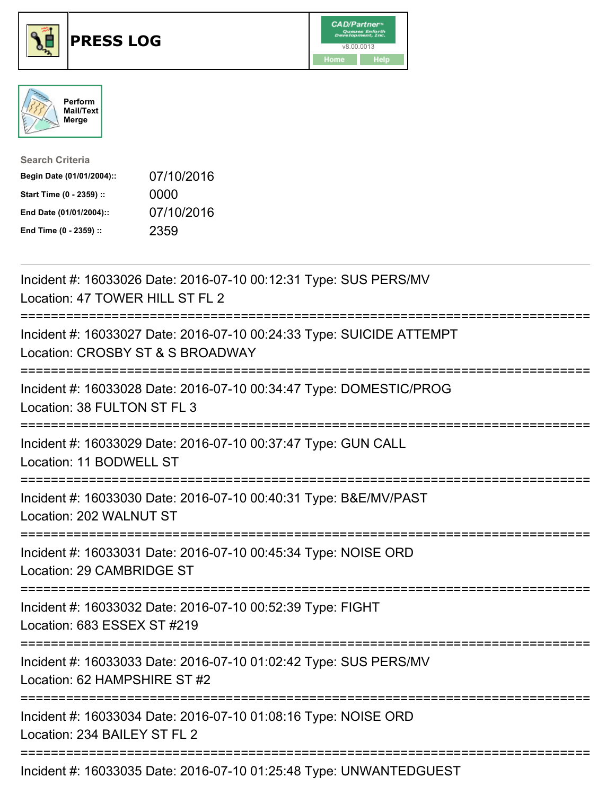





| <b>Search Criteria</b>    |            |
|---------------------------|------------|
| Begin Date (01/01/2004):: | 07/10/2016 |
| Start Time (0 - 2359) ::  | 0000       |
| End Date (01/01/2004)::   | 07/10/2016 |
| End Time (0 - 2359) ::    | 2359       |

| Incident #: 16033026 Date: 2016-07-10 00:12:31 Type: SUS PERS/MV<br>Location: 47 TOWER HILL ST FL 2                                  |
|--------------------------------------------------------------------------------------------------------------------------------------|
| Incident #: 16033027 Date: 2016-07-10 00:24:33 Type: SUICIDE ATTEMPT<br>Location: CROSBY ST & S BROADWAY                             |
| Incident #: 16033028 Date: 2016-07-10 00:34:47 Type: DOMESTIC/PROG<br>Location: 38 FULTON ST FL 3                                    |
| Incident #: 16033029 Date: 2016-07-10 00:37:47 Type: GUN CALL<br>Location: 11 BODWELL ST                                             |
| Incident #: 16033030 Date: 2016-07-10 00:40:31 Type: B&E/MV/PAST<br>Location: 202 WALNUT ST<br>----------------------------------    |
| Incident #: 16033031 Date: 2016-07-10 00:45:34 Type: NOISE ORD<br>Location: 29 CAMBRIDGE ST<br>------------------------------------- |
| Incident #: 16033032 Date: 2016-07-10 00:52:39 Type: FIGHT<br>Location: 683 ESSEX ST #219                                            |
| Incident #: 16033033 Date: 2016-07-10 01:02:42 Type: SUS PERS/MV<br>Location: 62 HAMPSHIRE ST #2                                     |
| Incident #: 16033034 Date: 2016-07-10 01:08:16 Type: NOISE ORD<br>Location: 234 BAILEY ST FL 2                                       |
| Incident #: 16033035 Date: 2016-07-10 01:25:48 Type: UNWANTEDGUEST                                                                   |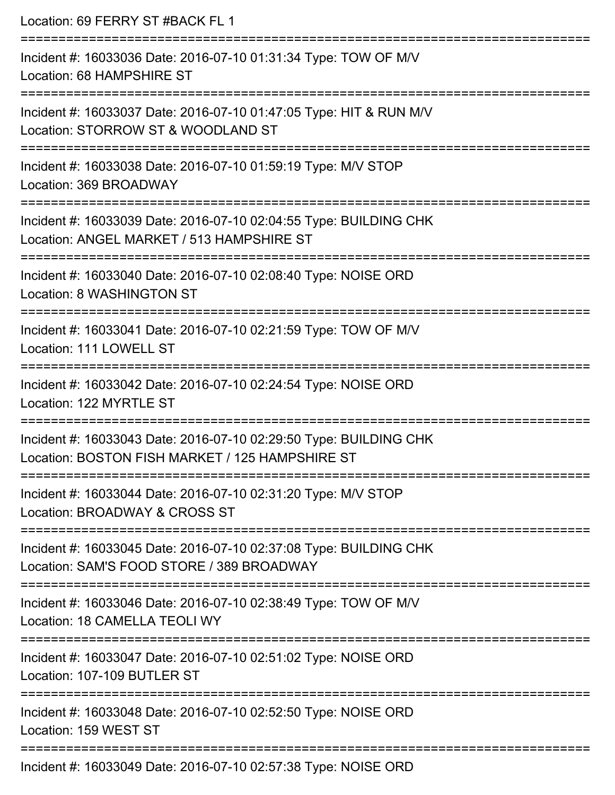| Location: 69 FERRY ST #BACK FL 1                                                                                     |
|----------------------------------------------------------------------------------------------------------------------|
| Incident #: 16033036 Date: 2016-07-10 01:31:34 Type: TOW OF M/V<br>Location: 68 HAMPSHIRE ST                         |
| Incident #: 16033037 Date: 2016-07-10 01:47:05 Type: HIT & RUN M/V<br>Location: STORROW ST & WOODLAND ST             |
| Incident #: 16033038 Date: 2016-07-10 01:59:19 Type: M/V STOP<br>Location: 369 BROADWAY                              |
| Incident #: 16033039 Date: 2016-07-10 02:04:55 Type: BUILDING CHK<br>Location: ANGEL MARKET / 513 HAMPSHIRE ST       |
| Incident #: 16033040 Date: 2016-07-10 02:08:40 Type: NOISE ORD<br>Location: 8 WASHINGTON ST                          |
| Incident #: 16033041 Date: 2016-07-10 02:21:59 Type: TOW OF M/V<br>Location: 111 LOWELL ST<br>---------------------- |
| Incident #: 16033042 Date: 2016-07-10 02:24:54 Type: NOISE ORD<br>Location: 122 MYRTLE ST                            |
| Incident #: 16033043 Date: 2016-07-10 02:29:50 Type: BUILDING CHK<br>Location: BOSTON FISH MARKET / 125 HAMPSHIRE ST |
| Incident #: 16033044 Date: 2016-07-10 02:31:20 Type: M/V STOP<br>Location: BROADWAY & CROSS ST                       |
| Incident #: 16033045 Date: 2016-07-10 02:37:08 Type: BUILDING CHK<br>Location: SAM'S FOOD STORE / 389 BROADWAY       |
| Incident #: 16033046 Date: 2016-07-10 02:38:49 Type: TOW OF M/V<br>Location: 18 CAMELLA TEOLI WY                     |
| Incident #: 16033047 Date: 2016-07-10 02:51:02 Type: NOISE ORD<br>Location: 107-109 BUTLER ST                        |
| Incident #: 16033048 Date: 2016-07-10 02:52:50 Type: NOISE ORD<br>Location: 159 WEST ST                              |
| Incident #: 16033049 Date: 2016-07-10 02:57:38 Type: NOISE ORD                                                       |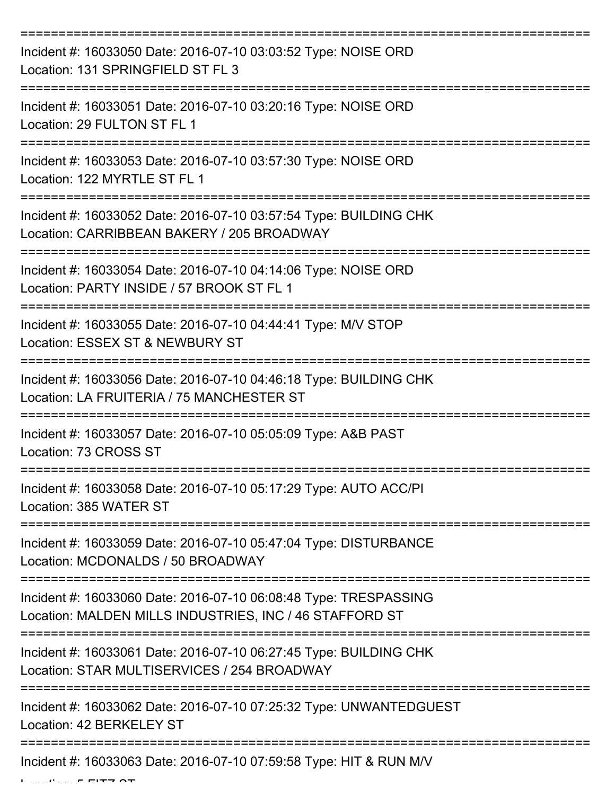| Incident #: 16033050 Date: 2016-07-10 03:03:52 Type: NOISE ORD<br>Location: 131 SPRINGFIELD ST FL 3                         |
|-----------------------------------------------------------------------------------------------------------------------------|
| Incident #: 16033051 Date: 2016-07-10 03:20:16 Type: NOISE ORD<br>Location: 29 FULTON ST FL 1                               |
| Incident #: 16033053 Date: 2016-07-10 03:57:30 Type: NOISE ORD<br>Location: 122 MYRTLE ST FL 1                              |
| Incident #: 16033052 Date: 2016-07-10 03:57:54 Type: BUILDING CHK<br>Location: CARRIBBEAN BAKERY / 205 BROADWAY             |
| Incident #: 16033054 Date: 2016-07-10 04:14:06 Type: NOISE ORD<br>Location: PARTY INSIDE / 57 BROOK ST FL 1                 |
| Incident #: 16033055 Date: 2016-07-10 04:44:41 Type: M/V STOP<br>Location: ESSEX ST & NEWBURY ST                            |
| Incident #: 16033056 Date: 2016-07-10 04:46:18 Type: BUILDING CHK<br>Location: LA FRUITERIA / 75 MANCHESTER ST              |
| Incident #: 16033057 Date: 2016-07-10 05:05:09 Type: A&B PAST<br>Location: 73 CROSS ST                                      |
| Incident #: 16033058 Date: 2016-07-10 05:17:29 Type: AUTO ACC/PI<br>Location: 385 WATER ST                                  |
| Incident #: 16033059 Date: 2016-07-10 05:47:04 Type: DISTURBANCE<br>Location: MCDONALDS / 50 BROADWAY                       |
| Incident #: 16033060 Date: 2016-07-10 06:08:48 Type: TRESPASSING<br>Location: MALDEN MILLS INDUSTRIES, INC / 46 STAFFORD ST |
| Incident #: 16033061 Date: 2016-07-10 06:27:45 Type: BUILDING CHK<br>Location: STAR MULTISERVICES / 254 BROADWAY            |
| Incident #: 16033062 Date: 2016-07-10 07:25:32 Type: UNWANTEDGUEST<br>Location: 42 BERKELEY ST                              |
| Incident #: 16033063 Date: 2016-07-10 07:59:58 Type: HIT & RUN M/V                                                          |

 $\mathbf{L}$  ...  $\mathbf{F}$  FITZ  $\mathbf{C}$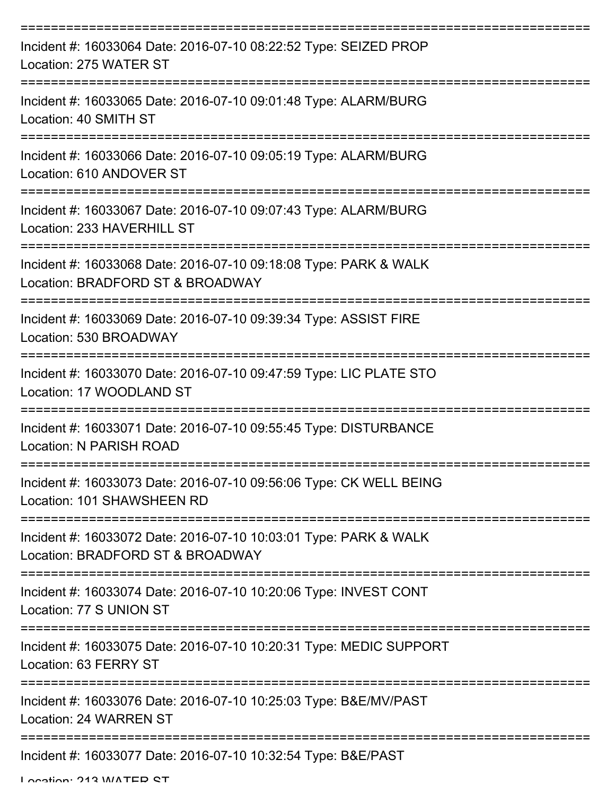| Incident #: 16033064 Date: 2016-07-10 08:22:52 Type: SEIZED PROP<br>Location: 275 WATER ST           |
|------------------------------------------------------------------------------------------------------|
| Incident #: 16033065 Date: 2016-07-10 09:01:48 Type: ALARM/BURG<br>Location: 40 SMITH ST             |
| Incident #: 16033066 Date: 2016-07-10 09:05:19 Type: ALARM/BURG<br>Location: 610 ANDOVER ST          |
| Incident #: 16033067 Date: 2016-07-10 09:07:43 Type: ALARM/BURG<br>Location: 233 HAVERHILL ST        |
| Incident #: 16033068 Date: 2016-07-10 09:18:08 Type: PARK & WALK<br>Location: BRADFORD ST & BROADWAY |
| Incident #: 16033069 Date: 2016-07-10 09:39:34 Type: ASSIST FIRE<br>Location: 530 BROADWAY           |
| Incident #: 16033070 Date: 2016-07-10 09:47:59 Type: LIC PLATE STO<br>Location: 17 WOODLAND ST       |
| Incident #: 16033071 Date: 2016-07-10 09:55:45 Type: DISTURBANCE<br>Location: N PARISH ROAD          |
| Incident #: 16033073 Date: 2016-07-10 09:56:06 Type: CK WELL BEING<br>Location: 101 SHAWSHEEN RD     |
| Incident #: 16033072 Date: 2016-07-10 10:03:01 Type: PARK & WALK<br>Location: BRADFORD ST & BROADWAY |
| Incident #: 16033074 Date: 2016-07-10 10:20:06 Type: INVEST CONT<br>Location: 77 S UNION ST          |
| Incident #: 16033075 Date: 2016-07-10 10:20:31 Type: MEDIC SUPPORT<br>Location: 63 FERRY ST          |
| Incident #: 16033076 Date: 2016-07-10 10:25:03 Type: B&E/MV/PAST<br>Location: 24 WARREN ST           |
| Incident #: 16033077 Date: 2016-07-10 10:32:54 Type: B&E/PAST                                        |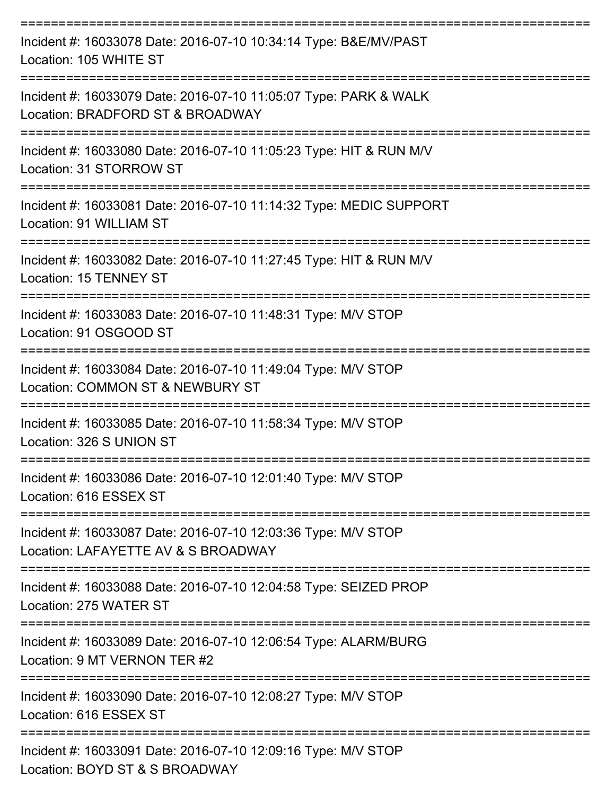| Incident #: 16033078 Date: 2016-07-10 10:34:14 Type: B&E/MV/PAST<br>Location: 105 WHITE ST           |
|------------------------------------------------------------------------------------------------------|
| Incident #: 16033079 Date: 2016-07-10 11:05:07 Type: PARK & WALK<br>Location: BRADFORD ST & BROADWAY |
| Incident #: 16033080 Date: 2016-07-10 11:05:23 Type: HIT & RUN M/V<br>Location: 31 STORROW ST        |
| Incident #: 16033081 Date: 2016-07-10 11:14:32 Type: MEDIC SUPPORT<br>Location: 91 WILLIAM ST        |
| Incident #: 16033082 Date: 2016-07-10 11:27:45 Type: HIT & RUN M/V<br>Location: 15 TENNEY ST         |
| Incident #: 16033083 Date: 2016-07-10 11:48:31 Type: M/V STOP<br>Location: 91 OSGOOD ST              |
| Incident #: 16033084 Date: 2016-07-10 11:49:04 Type: M/V STOP<br>Location: COMMON ST & NEWBURY ST    |
| Incident #: 16033085 Date: 2016-07-10 11:58:34 Type: M/V STOP<br>Location: 326 S UNION ST            |
| Incident #: 16033086 Date: 2016-07-10 12:01:40 Type: M/V STOP<br>Location: 616 ESSEX ST              |
| Incident #: 16033087 Date: 2016-07-10 12:03:36 Type: M/V STOP<br>Location: LAFAYETTE AV & S BROADWAY |
| Incident #: 16033088 Date: 2016-07-10 12:04:58 Type: SEIZED PROP<br>Location: 275 WATER ST           |
| Incident #: 16033089 Date: 2016-07-10 12:06:54 Type: ALARM/BURG<br>Location: 9 MT VERNON TER #2      |
| Incident #: 16033090 Date: 2016-07-10 12:08:27 Type: M/V STOP<br>Location: 616 ESSEX ST              |
| Incident #: 16033091 Date: 2016-07-10 12:09:16 Type: M/V STOP<br>Location: BOYD ST & S BROADWAY      |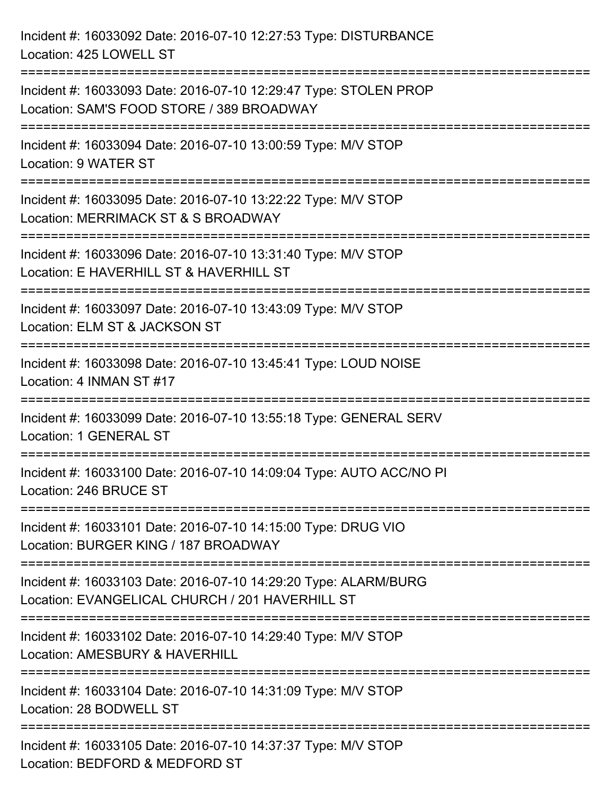Incident #: 16033092 Date: 2016-07-10 12:27:53 Type: DISTURBANCE Location: 425 LOWELL ST =========================================================================== Incident #: 16033093 Date: 2016-07-10 12:29:47 Type: STOLEN PROP Location: SAM'S FOOD STORE / 389 BROADWAY =========================================================================== Incident #: 16033094 Date: 2016-07-10 13:00:59 Type: M/V STOP Location: 9 WATER ST =========================================================================== Incident #: 16033095 Date: 2016-07-10 13:22:22 Type: M/V STOP Location: MERRIMACK ST & S BROADWAY =========================================================================== Incident #: 16033096 Date: 2016-07-10 13:31:40 Type: M/V STOP Location: E HAVERHILL ST & HAVERHILL ST =========================================================================== Incident #: 16033097 Date: 2016-07-10 13:43:09 Type: M/V STOP Location: ELM ST & JACKSON ST =========================================================================== Incident #: 16033098 Date: 2016-07-10 13:45:41 Type: LOUD NOISE Location: 4 INMAN ST #17 =========================================================================== Incident #: 16033099 Date: 2016-07-10 13:55:18 Type: GENERAL SERV Location: 1 GENERAL ST =========================================================================== Incident #: 16033100 Date: 2016-07-10 14:09:04 Type: AUTO ACC/NO PI Location: 246 BRUCE ST =========================================================================== Incident #: 16033101 Date: 2016-07-10 14:15:00 Type: DRUG VIO Location: BURGER KING / 187 BROADWAY =========================================================================== Incident #: 16033103 Date: 2016-07-10 14:29:20 Type: ALARM/BURG Location: EVANGELICAL CHURCH / 201 HAVERHILL ST =========================================================================== Incident #: 16033102 Date: 2016-07-10 14:29:40 Type: M/V STOP Location: AMESBURY & HAVERHILL =========================================================================== Incident #: 16033104 Date: 2016-07-10 14:31:09 Type: M/V STOP Location: 28 BODWELL ST =========================================================================== Incident #: 16033105 Date: 2016-07-10 14:37:37 Type: M/V STOP Location: BEDFORD & MEDFORD ST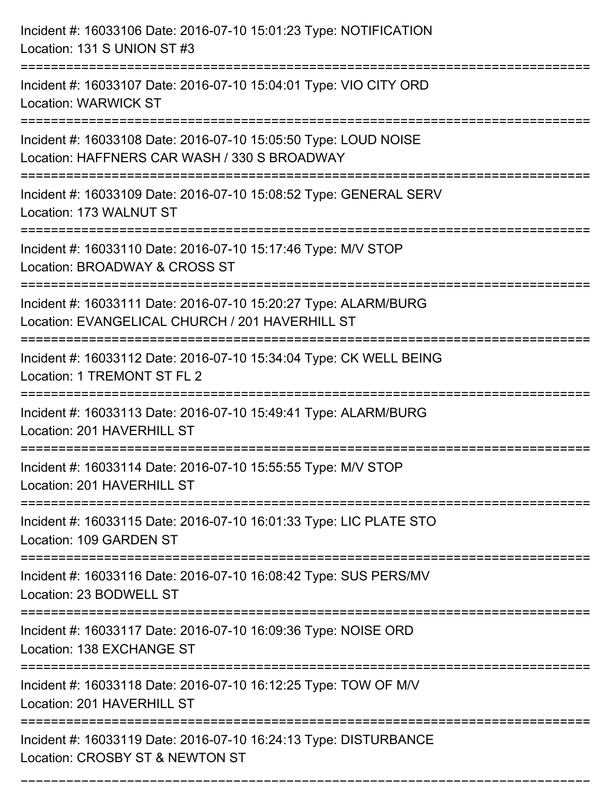| Incident #: 16033106 Date: 2016-07-10 15:01:23 Type: NOTIFICATION<br>Location: 131 S UNION ST #3                                                                                   |
|------------------------------------------------------------------------------------------------------------------------------------------------------------------------------------|
| Incident #: 16033107 Date: 2016-07-10 15:04:01 Type: VIO CITY ORD<br><b>Location: WARWICK ST</b>                                                                                   |
| Incident #: 16033108 Date: 2016-07-10 15:05:50 Type: LOUD NOISE<br>Location: HAFFNERS CAR WASH / 330 S BROADWAY<br>================================<br>=========================== |
| Incident #: 16033109 Date: 2016-07-10 15:08:52 Type: GENERAL SERV<br>Location: 173 WALNUT ST                                                                                       |
| Incident #: 16033110 Date: 2016-07-10 15:17:46 Type: M/V STOP<br>Location: BROADWAY & CROSS ST                                                                                     |
| Incident #: 16033111 Date: 2016-07-10 15:20:27 Type: ALARM/BURG<br>Location: EVANGELICAL CHURCH / 201 HAVERHILL ST<br>=======================                                      |
| Incident #: 16033112 Date: 2016-07-10 15:34:04 Type: CK WELL BEING<br>Location: 1 TREMONT ST FL 2                                                                                  |
| Incident #: 16033113 Date: 2016-07-10 15:49:41 Type: ALARM/BURG<br>Location: 201 HAVERHILL ST                                                                                      |
| Incident #: 16033114 Date: 2016-07-10 15:55:55 Type: M/V STOP<br>Location: 201 HAVERHILL ST                                                                                        |
| Incident #: 16033115 Date: 2016-07-10 16:01:33 Type: LIC PLATE STO<br>Location: 109 GARDEN ST                                                                                      |
| Incident #: 16033116 Date: 2016-07-10 16:08:42 Type: SUS PERS/MV<br>Location: 23 BODWELL ST                                                                                        |
| Incident #: 16033117 Date: 2016-07-10 16:09:36 Type: NOISE ORD<br>Location: 138 EXCHANGE ST                                                                                        |
| Incident #: 16033118 Date: 2016-07-10 16:12:25 Type: TOW OF M/V<br>Location: 201 HAVERHILL ST                                                                                      |
| Incident #: 16033119 Date: 2016-07-10 16:24:13 Type: DISTURBANCE<br>Location: CROSBY ST & NEWTON ST                                                                                |

===========================================================================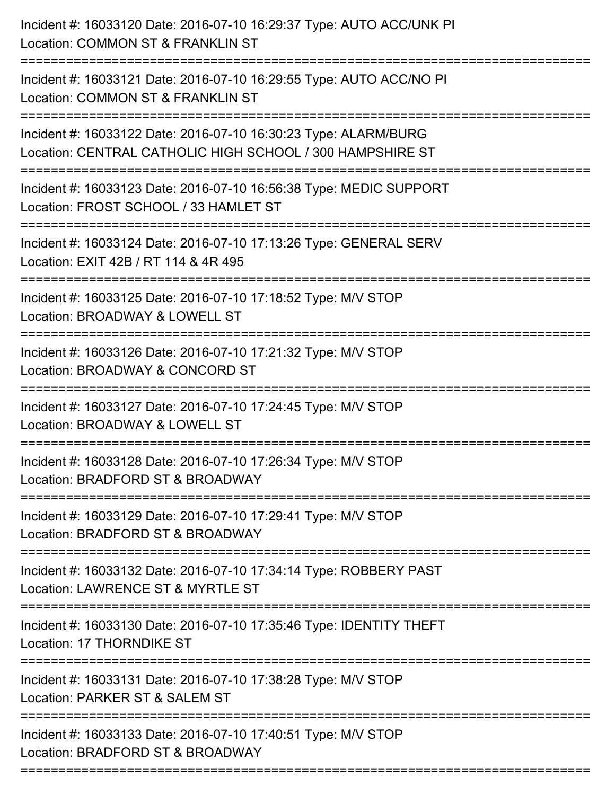Incident #: 16033120 Date: 2016-07-10 16:29:37 Type: AUTO ACC/UNK PI Location: COMMON ST & FRANKLIN ST =========================================================================== Incident #: 16033121 Date: 2016-07-10 16:29:55 Type: AUTO ACC/NO PI Location: COMMON ST & FRANKLIN ST =========================================================================== Incident #: 16033122 Date: 2016-07-10 16:30:23 Type: ALARM/BURG Location: CENTRAL CATHOLIC HIGH SCHOOL / 300 HAMPSHIRE ST =========================================================================== Incident #: 16033123 Date: 2016-07-10 16:56:38 Type: MEDIC SUPPORT Location: FROST SCHOOL / 33 HAMLET ST =========================================================================== Incident #: 16033124 Date: 2016-07-10 17:13:26 Type: GENERAL SERV Location: EXIT 42B / RT 114 & 4R 495 =========================================================================== Incident #: 16033125 Date: 2016-07-10 17:18:52 Type: M/V STOP Location: BROADWAY & LOWELL ST =========================================================================== Incident #: 16033126 Date: 2016-07-10 17:21:32 Type: M/V STOP Location: BROADWAY & CONCORD ST =========================================================================== Incident #: 16033127 Date: 2016-07-10 17:24:45 Type: M/V STOP Location: BROADWAY & LOWELL ST =========================================================================== Incident #: 16033128 Date: 2016-07-10 17:26:34 Type: M/V STOP Location: BRADFORD ST & BROADWAY =========================================================================== Incident #: 16033129 Date: 2016-07-10 17:29:41 Type: M/V STOP Location: BRADFORD ST & BROADWAY =========================================================================== Incident #: 16033132 Date: 2016-07-10 17:34:14 Type: ROBBERY PAST Location: LAWRENCE ST & MYRTLE ST =========================================================================== Incident #: 16033130 Date: 2016-07-10 17:35:46 Type: IDENTITY THEFT Location: 17 THORNDIKE ST =========================================================================== Incident #: 16033131 Date: 2016-07-10 17:38:28 Type: M/V STOP Location: PARKER ST & SALEM ST =========================================================================== Incident #: 16033133 Date: 2016-07-10 17:40:51 Type: M/V STOP Location: BRADFORD ST & BROADWAY ===========================================================================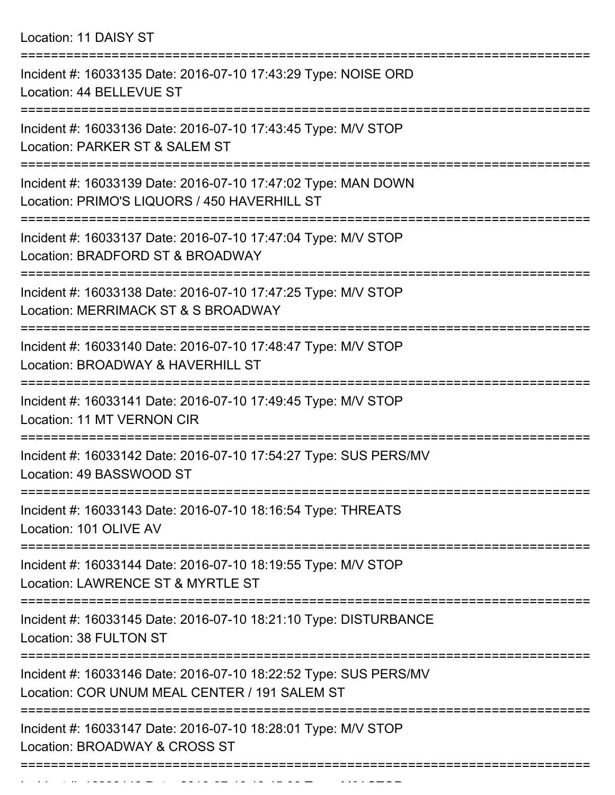Location: 11 DAISY ST

| Incident #: 16033135 Date: 2016-07-10 17:43:29 Type: NOISE ORD<br>Location: 44 BELLEVUE ST                                   |
|------------------------------------------------------------------------------------------------------------------------------|
| Incident #: 16033136 Date: 2016-07-10 17:43:45 Type: M/V STOP<br>Location: PARKER ST & SALEM ST                              |
| Incident #: 16033139 Date: 2016-07-10 17:47:02 Type: MAN DOWN<br>Location: PRIMO'S LIQUORS / 450 HAVERHILL ST                |
| Incident #: 16033137 Date: 2016-07-10 17:47:04 Type: M/V STOP<br>Location: BRADFORD ST & BROADWAY                            |
| Incident #: 16033138 Date: 2016-07-10 17:47:25 Type: M/V STOP<br>Location: MERRIMACK ST & S BROADWAY                         |
| Incident #: 16033140 Date: 2016-07-10 17:48:47 Type: M/V STOP<br>Location: BROADWAY & HAVERHILL ST                           |
| Incident #: 16033141 Date: 2016-07-10 17:49:45 Type: M/V STOP<br>Location: 11 MT VERNON CIR                                  |
| Incident #: 16033142 Date: 2016-07-10 17:54:27 Type: SUS PERS/MV<br>Location: 49 BASSWOOD ST                                 |
| Incident #: 16033143 Date: 2016-07-10 18:16:54 Type: THREATS<br>Location: 101 OLIVE AV                                       |
| ======================<br>Incident #: 16033144 Date: 2016-07-10 18:19:55 Type: M/V STOP<br>Location: LAWRENCE ST & MYRTLE ST |
| Incident #: 16033145 Date: 2016-07-10 18:21:10 Type: DISTURBANCE<br>Location: 38 FULTON ST                                   |
| Incident #: 16033146 Date: 2016-07-10 18:22:52 Type: SUS PERS/MV<br>Location: COR UNUM MEAL CENTER / 191 SALEM ST            |
| Incident #: 16033147 Date: 2016-07-10 18:28:01 Type: M/V STOP<br>Location: BROADWAY & CROSS ST                               |
|                                                                                                                              |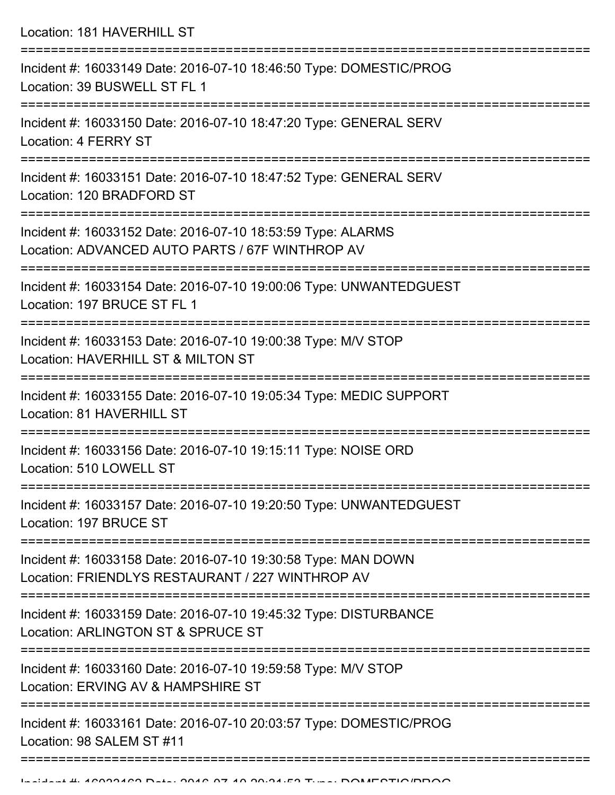Location: 181 HAVERHILL ST =========================================================================== Incident #: 16033149 Date: 2016-07-10 18:46:50 Type: DOMESTIC/PROG Location: 39 BUSWELL ST FL 1 =========================================================================== Incident #: 16033150 Date: 2016-07-10 18:47:20 Type: GENERAL SERV Location: 4 FERRY ST =========================================================================== Incident #: 16033151 Date: 2016-07-10 18:47:52 Type: GENERAL SERV Location: 120 BRADFORD ST =========================================================================== Incident #: 16033152 Date: 2016-07-10 18:53:59 Type: ALARMS Location: ADVANCED AUTO PARTS / 67F WINTHROP AV =========================================================================== Incident #: 16033154 Date: 2016-07-10 19:00:06 Type: UNWANTEDGUEST Location: 197 BRUCE ST FL 1 =========================================================================== Incident #: 16033153 Date: 2016-07-10 19:00:38 Type: M/V STOP Location: HAVERHILL ST & MILTON ST =========================================================================== Incident #: 16033155 Date: 2016-07-10 19:05:34 Type: MEDIC SUPPORT Location: 81 HAVERHILL ST =========================================================================== Incident #: 16033156 Date: 2016-07-10 19:15:11 Type: NOISE ORD Location: 510 LOWELL ST =========================================================================== Incident #: 16033157 Date: 2016-07-10 19:20:50 Type: UNWANTEDGUEST Location: 197 BRUCE ST =========================================================================== Incident #: 16033158 Date: 2016-07-10 19:30:58 Type: MAN DOWN Location: FRIENDLYS RESTAURANT / 227 WINTHROP AV =========================================================================== Incident #: 16033159 Date: 2016-07-10 19:45:32 Type: DISTURBANCE Location: ARLINGTON ST & SPRUCE ST =========================================================================== Incident #: 16033160 Date: 2016-07-10 19:59:58 Type: M/V STOP Location: ERVING AV & HAMPSHIRE ST =========================================================================== Incident #: 16033161 Date: 2016-07-10 20:03:57 Type: DOMESTIC/PROG Location: 98 SALEM ST #11

==================================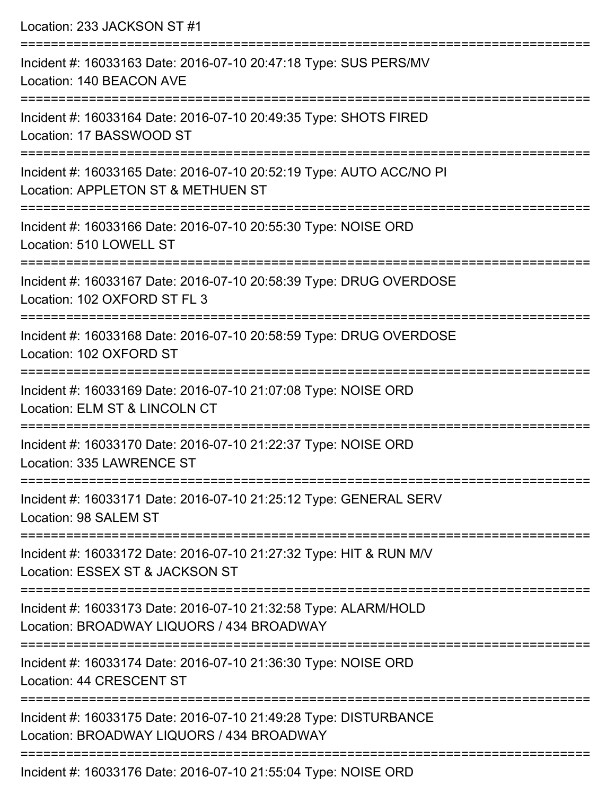| Location: 233 JACKSON ST #1                                                                                                      |
|----------------------------------------------------------------------------------------------------------------------------------|
| Incident #: 16033163 Date: 2016-07-10 20:47:18 Type: SUS PERS/MV<br>Location: 140 BEACON AVE                                     |
| Incident #: 16033164 Date: 2016-07-10 20:49:35 Type: SHOTS FIRED<br>Location: 17 BASSWOOD ST                                     |
| Incident #: 16033165 Date: 2016-07-10 20:52:19 Type: AUTO ACC/NO PI<br>Location: APPLETON ST & METHUEN ST<br>=================== |
| Incident #: 16033166 Date: 2016-07-10 20:55:30 Type: NOISE ORD<br>Location: 510 LOWELL ST                                        |
| Incident #: 16033167 Date: 2016-07-10 20:58:39 Type: DRUG OVERDOSE<br>Location: 102 OXFORD ST FL 3                               |
| Incident #: 16033168 Date: 2016-07-10 20:58:59 Type: DRUG OVERDOSE<br>Location: 102 OXFORD ST                                    |
| Incident #: 16033169 Date: 2016-07-10 21:07:08 Type: NOISE ORD<br>Location: ELM ST & LINCOLN CT                                  |
| Incident #: 16033170 Date: 2016-07-10 21:22:37 Type: NOISE ORD<br>Location: 335 LAWRENCE ST                                      |
| Incident #: 16033171 Date: 2016-07-10 21:25:12 Type: GENERAL SERV<br>Location: 98 SALEM ST                                       |
| Incident #: 16033172 Date: 2016-07-10 21:27:32 Type: HIT & RUN M/V<br>Location: ESSEX ST & JACKSON ST                            |
| Incident #: 16033173 Date: 2016-07-10 21:32:58 Type: ALARM/HOLD<br>Location: BROADWAY LIQUORS / 434 BROADWAY                     |
| Incident #: 16033174 Date: 2016-07-10 21:36:30 Type: NOISE ORD<br>Location: 44 CRESCENT ST                                       |
| Incident #: 16033175 Date: 2016-07-10 21:49:28 Type: DISTURBANCE<br>Location: BROADWAY LIQUORS / 434 BROADWAY                    |
| Ingident #: 16022176 Dete: 2016 07 10 21:55:04 Tune: NOICE ODD                                                                   |

Incident #: 16033176 Date: 2016-07-10 21:55:04 Type: NOISE ORD